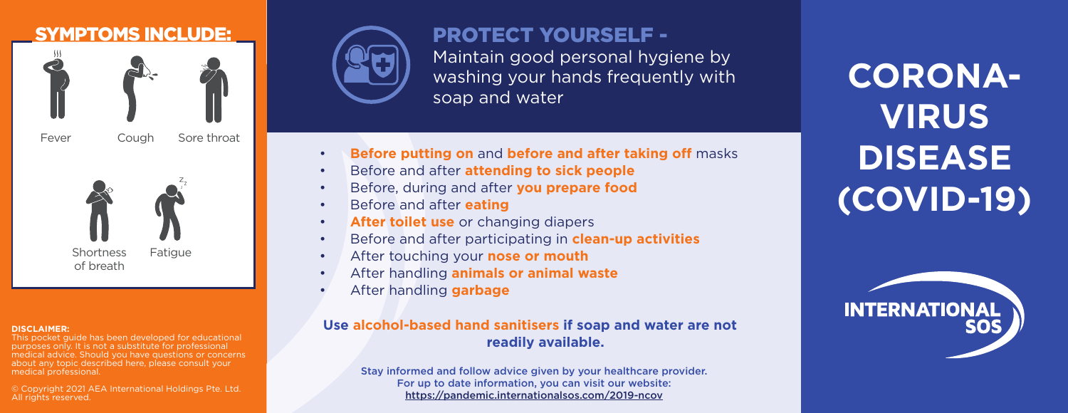

#### **DISCLAIMER:**

This pocket guide has been developed for educational purposes only. It is not a substitute for professional medical advice. Should you have questions or concerns about any topic described here, please consult your medical professional.

© Copyright 2021 AEA International Holdings Pte. Ltd. All rights reserved.



PROTECT YOURSELF - Maintain good personal hygiene by washing your hands frequently with soap and water

- **Before putting on** and **before and after taking off** masks
- Before and after **attending to sick people**
- Before, during and after **you prepare food**
- Before and after **eating**
- **After toilet use** or changing diapers
- Before and after participating in **clean-up activities**
- After touching your **nose or mouth**
- After handling **animals or animal waste**
- After handling **garbage**

## **Use alcohol-based hand sanitisers if soap and water are not readily available.**

Stay informed and follow advice given by your healthcare provider. For up to date information, you can visit our website: https://pandemic.internationalsos.com/2019-ncov

**CORONA-VIRUS DISEASE (COVID-19)**